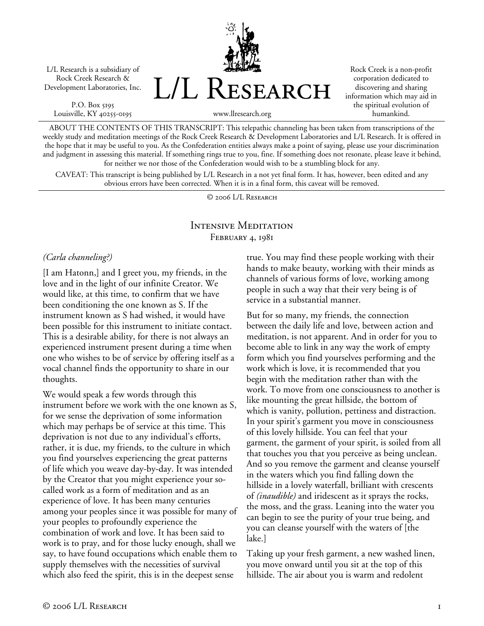L/L Research is a subsidiary of Rock Creek Research & Development Laboratories, Inc.

P.O. Box 5195 Louisville, KY 40255-0195 L/L Research

Rock Creek is a non-profit corporation dedicated to discovering and sharing information which may aid in the spiritual evolution of humankind.

www.llresearch.org

ABOUT THE CONTENTS OF THIS TRANSCRIPT: This telepathic channeling has been taken from transcriptions of the weekly study and meditation meetings of the Rock Creek Research & Development Laboratories and L/L Research. It is offered in the hope that it may be useful to you. As the Confederation entities always make a point of saying, please use your discrimination and judgment in assessing this material. If something rings true to you, fine. If something does not resonate, please leave it behind, for neither we nor those of the Confederation would wish to be a stumbling block for any.

CAVEAT: This transcript is being published by L/L Research in a not yet final form. It has, however, been edited and any obvious errors have been corrected. When it is in a final form, this caveat will be removed.

© 2006 L/L Research

# Intensive Meditation FEBRUARY 4, 1981

#### *(Carla channeling?)*

[I am Hatonn,] and I greet you, my friends, in the love and in the light of our infinite Creator. We would like, at this time, to confirm that we have been conditioning the one known as S. If the instrument known as S had wished, it would have been possible for this instrument to initiate contact. This is a desirable ability, for there is not always an experienced instrument present during a time when one who wishes to be of service by offering itself as a vocal channel finds the opportunity to share in our thoughts.

We would speak a few words through this instrument before we work with the one known as S, for we sense the deprivation of some information which may perhaps be of service at this time. This deprivation is not due to any individual's efforts, rather, it is due, my friends, to the culture in which you find yourselves experiencing the great patterns of life which you weave day-by-day. It was intended by the Creator that you might experience your socalled work as a form of meditation and as an experience of love. It has been many centuries among your peoples since it was possible for many of your peoples to profoundly experience the combination of work and love. It has been said to work is to pray, and for those lucky enough, shall we say, to have found occupations which enable them to supply themselves with the necessities of survival which also feed the spirit, this is in the deepest sense

true. You may find these people working with their hands to make beauty, working with their minds as channels of various forms of love, working among people in such a way that their very being is of service in a substantial manner.

But for so many, my friends, the connection between the daily life and love, between action and meditation, is not apparent. And in order for you to become able to link in any way the work of empty form which you find yourselves performing and the work which is love, it is recommended that you begin with the meditation rather than with the work. To move from one consciousness to another is like mounting the great hillside, the bottom of which is vanity, pollution, pettiness and distraction. In your spirit's garment you move in consciousness of this lovely hillside. You can feel that your garment, the garment of your spirit, is soiled from all that touches you that you perceive as being unclean. And so you remove the garment and cleanse yourself in the waters which you find falling down the hillside in a lovely waterfall, brilliant with crescents of *(inaudible)* and iridescent as it sprays the rocks, the moss, and the grass. Leaning into the water you can begin to see the purity of your true being, and you can cleanse yourself with the waters of [the lake.]

Taking up your fresh garment, a new washed linen, you move onward until you sit at the top of this hillside. The air about you is warm and redolent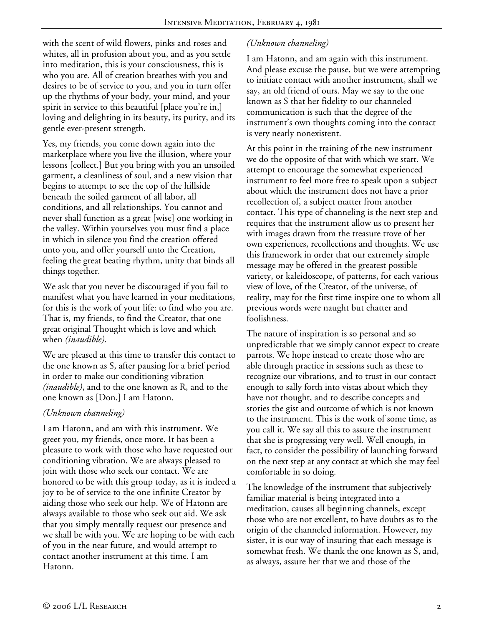with the scent of wild flowers, pinks and roses and whites, all in profusion about you, and as you settle into meditation, this is your consciousness, this is who you are. All of creation breathes with you and desires to be of service to you, and you in turn offer up the rhythms of your body, your mind, and your spirit in service to this beautiful [place you're in,] loving and delighting in its beauty, its purity, and its gentle ever-present strength.

Yes, my friends, you come down again into the marketplace where you live the illusion, where your lessons [collect.] But you bring with you an unsoiled garment, a cleanliness of soul, and a new vision that begins to attempt to see the top of the hillside beneath the soiled garment of all labor, all conditions, and all relationships. You cannot and never shall function as a great [wise] one working in the valley. Within yourselves you must find a place in which in silence you find the creation offered unto you, and offer yourself unto the Creation, feeling the great beating rhythm, unity that binds all things together.

We ask that you never be discouraged if you fail to manifest what you have learned in your meditations, for this is the work of your life: to find who you are. That is, my friends, to find the Creator, that one great original Thought which is love and which when *(inaudible)*.

We are pleased at this time to transfer this contact to the one known as S, after pausing for a brief period in order to make our conditioning vibration *(inaudible)*, and to the one known as R, and to the one known as [Don.] I am Hatonn.

#### *(Unknown channeling)*

I am Hatonn, and am with this instrument. We greet you, my friends, once more. It has been a pleasure to work with those who have requested our conditioning vibration. We are always pleased to join with those who seek our contact. We are honored to be with this group today, as it is indeed a joy to be of service to the one infinite Creator by aiding those who seek our help. We of Hatonn are always available to those who seek out aid. We ask that you simply mentally request our presence and we shall be with you. We are hoping to be with each of you in the near future, and would attempt to contact another instrument at this time. I am Hatonn.

# *(Unknown channeling)*

I am Hatonn, and am again with this instrument. And please excuse the pause, but we were attempting to initiate contact with another instrument, shall we say, an old friend of ours. May we say to the one known as S that her fidelity to our channeled communication is such that the degree of the instrument's own thoughts coming into the contact is very nearly nonexistent.

At this point in the training of the new instrument we do the opposite of that with which we start. We attempt to encourage the somewhat experienced instrument to feel more free to speak upon a subject about which the instrument does not have a prior recollection of, a subject matter from another contact. This type of channeling is the next step and requires that the instrument allow us to present her with images drawn from the treasure trove of her own experiences, recollections and thoughts. We use this framework in order that our extremely simple message may be offered in the greatest possible variety, or kaleidoscope, of patterns, for each various view of love, of the Creator, of the universe, of reality, may for the first time inspire one to whom all previous words were naught but chatter and foolishness.

The nature of inspiration is so personal and so unpredictable that we simply cannot expect to create parrots. We hope instead to create those who are able through practice in sessions such as these to recognize our vibrations, and to trust in our contact enough to sally forth into vistas about which they have not thought, and to describe concepts and stories the gist and outcome of which is not known to the instrument. This is the work of some time, as you call it. We say all this to assure the instrument that she is progressing very well. Well enough, in fact, to consider the possibility of launching forward on the next step at any contact at which she may feel comfortable in so doing.

The knowledge of the instrument that subjectively familiar material is being integrated into a meditation, causes all beginning channels, except those who are not excellent, to have doubts as to the origin of the channeled information. However, my sister, it is our way of insuring that each message is somewhat fresh. We thank the one known as S, and, as always, assure her that we and those of the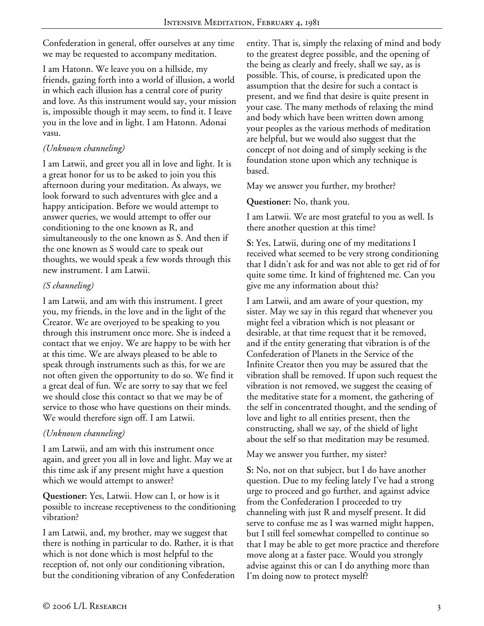Confederation in general, offer ourselves at any time we may be requested to accompany meditation.

I am Hatonn. We leave you on a hillside, my friends, gazing forth into a world of illusion, a world in which each illusion has a central core of purity and love. As this instrument would say, your mission is, impossible though it may seem, to find it. I leave you in the love and in light. I am Hatonn. Adonai vasu.

# *(Unknown channeling)*

I am Latwii, and greet you all in love and light. It is a great honor for us to be asked to join you this afternoon during your meditation. As always, we look forward to such adventures with glee and a happy anticipation. Before we would attempt to answer queries, we would attempt to offer our conditioning to the one known as R, and simultaneously to the one known as S. And then if the one known as S would care to speak out thoughts, we would speak a few words through this new instrument. I am Latwii.

### *(S channeling)*

I am Latwii, and am with this instrument. I greet you, my friends, in the love and in the light of the Creator. We are overjoyed to be speaking to you through this instrument once more. She is indeed a contact that we enjoy. We are happy to be with her at this time. We are always pleased to be able to speak through instruments such as this, for we are not often given the opportunity to do so. We find it a great deal of fun. We are sorry to say that we feel we should close this contact so that we may be of service to those who have questions on their minds. We would therefore sign off. I am Latwii.

### *(Unknown channeling)*

I am Latwii, and am with this instrument once again, and greet you all in love and light. May we at this time ask if any present might have a question which we would attempt to answer?

**Questioner:** Yes, Latwii. How can I, or how is it possible to increase receptiveness to the conditioning vibration?

I am Latwii, and, my brother, may we suggest that there is nothing in particular to do. Rather, it is that which is not done which is most helpful to the reception of, not only our conditioning vibration, but the conditioning vibration of any Confederation entity. That is, simply the relaxing of mind and body to the greatest degree possible, and the opening of the being as clearly and freely, shall we say, as is possible. This, of course, is predicated upon the assumption that the desire for such a contact is present, and we find that desire is quite present in your case. The many methods of relaxing the mind and body which have been written down among your peoples as the various methods of meditation are helpful, but we would also suggest that the concept of not doing and of simply seeking is the foundation stone upon which any technique is based.

May we answer you further, my brother?

**Questioner:** No, thank you.

I am Latwii. We are most grateful to you as well. Is there another question at this time?

**S:** Yes, Latwii, during one of my meditations I received what seemed to be very strong conditioning that I didn't ask for and was not able to get rid of for quite some time. It kind of frightened me. Can you give me any information about this?

I am Latwii, and am aware of your question, my sister. May we say in this regard that whenever you might feel a vibration which is not pleasant or desirable, at that time request that it be removed, and if the entity generating that vibration is of the Confederation of Planets in the Service of the Infinite Creator then you may be assured that the vibration shall be removed. If upon such request the vibration is not removed, we suggest the ceasing of the meditative state for a moment, the gathering of the self in concentrated thought, and the sending of love and light to all entities present, then the constructing, shall we say, of the shield of light about the self so that meditation may be resumed.

### May we answer you further, my sister?

**S:** No, not on that subject, but I do have another question. Due to my feeling lately I've had a strong urge to proceed and go further, and against advice from the Confederation I proceeded to try channeling with just R and myself present. It did serve to confuse me as I was warned might happen, but I still feel somewhat compelled to continue so that I may be able to get more practice and therefore move along at a faster pace. Would you strongly advise against this or can I do anything more than I'm doing now to protect myself?